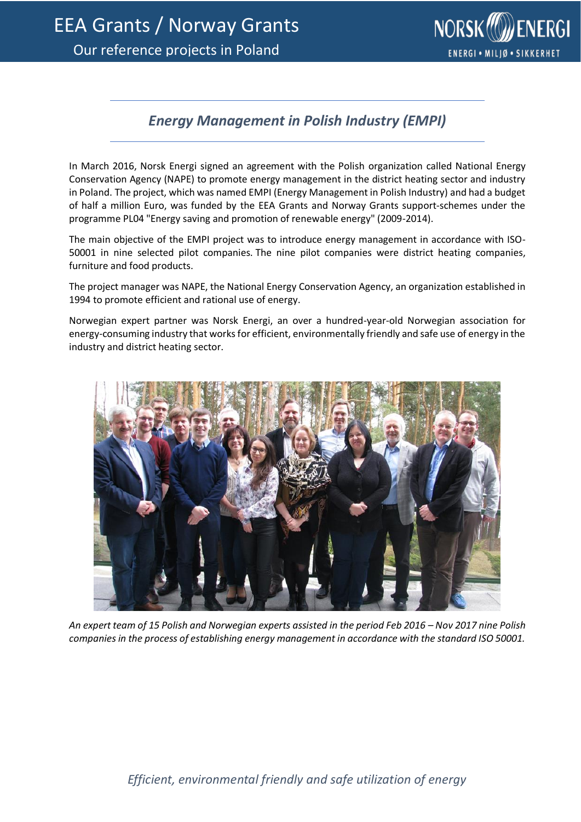

## *Energy Management in Polish Industry (EMPI)*

In March 2016, Norsk Energi signed an agreement with the Polish organization called National Energy Conservation Agency (NAPE) to promote energy management in the district heating sector and industry in Poland. The project, which was named EMPI (Energy Management in Polish Industry) and had a budget of half a million Euro, was funded by the EEA Grants and Norway Grants support-schemes under the programme PL04 "Energy saving and promotion of renewable energy" (2009-2014).

The main objective of the EMPI project was to introduce energy management in accordance with ISO-50001 in nine selected pilot companies. The nine pilot companies were district heating companies, furniture and food products.

The project manager was NAPE, the National Energy Conservation Agency, an organization established in 1994 to promote efficient and rational use of energy.

Norwegian expert partner was Norsk Energi, an over a hundred-year-old Norwegian association for energy-consuming industry that works for efficient, environmentally friendly and safe use of energy in the industry and district heating sector.



*An expert team of 15 Polish and Norwegian experts assisted in the period Feb 2016 – Nov 2017 nine Polish companies in the process of establishing energy management in accordance with the standard ISO 50001.*